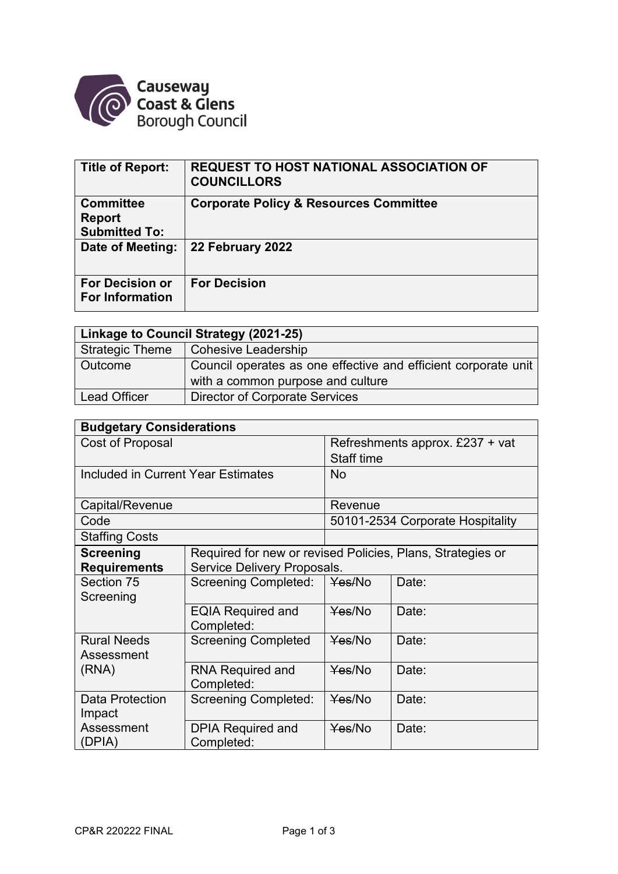

| <b>Title of Report:</b>                                   | <b>REQUEST TO HOST NATIONAL ASSOCIATION OF</b><br><b>COUNCILLORS</b> |
|-----------------------------------------------------------|----------------------------------------------------------------------|
| <b>Committee</b><br><b>Report</b><br><b>Submitted To:</b> | <b>Corporate Policy &amp; Resources Committee</b>                    |
| Date of Meeting:                                          | 22 February 2022                                                     |
| <b>For Decision or</b><br><b>For Information</b>          | <b>For Decision</b>                                                  |

| Linkage to Council Strategy (2021-25) |                                                                |  |  |
|---------------------------------------|----------------------------------------------------------------|--|--|
| <b>Strategic Theme</b>                | Cohesive Leadership                                            |  |  |
| Outcome                               | Council operates as one effective and efficient corporate unit |  |  |
|                                       | with a common purpose and culture                              |  |  |
| <b>Lead Officer</b>                   | <b>Director of Corporate Services</b>                          |  |  |

| <b>Budgetary Considerations</b>    |                                                            |                                  |       |  |  |
|------------------------------------|------------------------------------------------------------|----------------------------------|-------|--|--|
| Cost of Proposal                   |                                                            | Refreshments approx. £237 + vat  |       |  |  |
|                                    |                                                            | <b>Staff time</b>                |       |  |  |
| Included in Current Year Estimates |                                                            | No                               |       |  |  |
|                                    |                                                            |                                  |       |  |  |
| Capital/Revenue                    |                                                            | Revenue                          |       |  |  |
| Code                               |                                                            | 50101-2534 Corporate Hospitality |       |  |  |
| <b>Staffing Costs</b>              |                                                            |                                  |       |  |  |
| <b>Screening</b>                   | Required for new or revised Policies, Plans, Strategies or |                                  |       |  |  |
| <b>Requirements</b>                | Service Delivery Proposals.                                |                                  |       |  |  |
| Section 75                         | <b>Screening Completed:</b>                                | Yes/No                           | Date: |  |  |
| Screening                          |                                                            |                                  |       |  |  |
|                                    | <b>EQIA Required and</b><br>Completed:                     | Yes/No                           | Date: |  |  |
| <b>Rural Needs</b>                 | <b>Screening Completed</b>                                 | Yes/No                           | Date: |  |  |
| Assessment                         |                                                            |                                  |       |  |  |
| (RNA)                              | <b>RNA Required and</b>                                    | Yes/No                           | Date: |  |  |
|                                    | Completed:                                                 |                                  |       |  |  |
| <b>Data Protection</b>             | <b>Screening Completed:</b>                                | Yes/No                           | Date: |  |  |
| Impact                             |                                                            |                                  |       |  |  |
| Assessment                         | <b>DPIA Required and</b>                                   | Yes/No                           | Date: |  |  |
| (DPIA)                             | Completed:                                                 |                                  |       |  |  |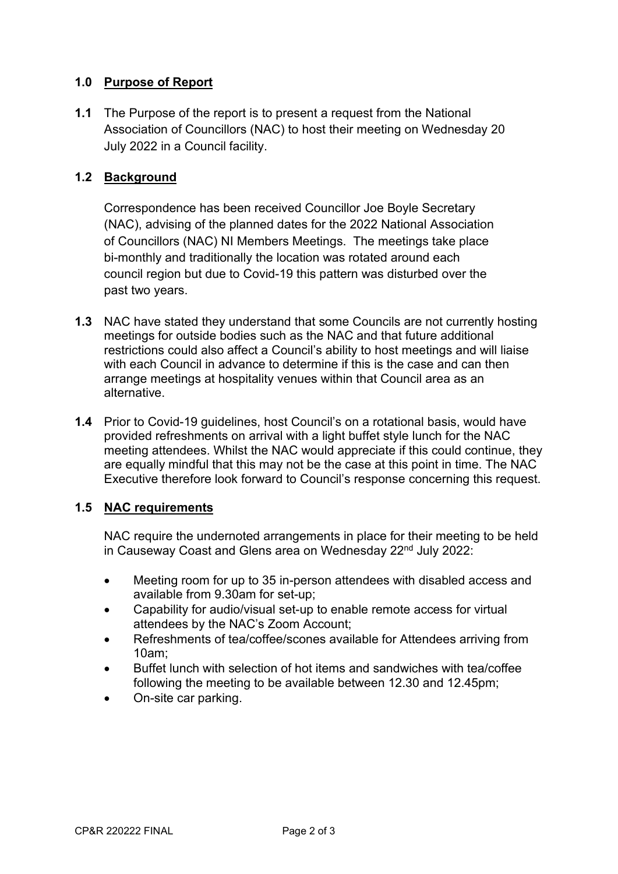## **1.0 Purpose of Report**

**1.1** The Purpose of the report is to present a request from the National Association of Councillors (NAC) to host their meeting on Wednesday 20 July 2022 in a Council facility.

### **1.2 Background**

Correspondence has been received Councillor Joe Boyle Secretary (NAC), advising of the planned dates for the 2022 National Association of Councillors (NAC) NI Members Meetings. The meetings take place bi-monthly and traditionally the location was rotated around each council region but due to Covid-19 this pattern was disturbed over the past two years.

- **1.3** NAC have stated they understand that some Councils are not currently hosting meetings for outside bodies such as the NAC and that future additional restrictions could also affect a Council's ability to host meetings and will liaise with each Council in advance to determine if this is the case and can then arrange meetings at hospitality venues within that Council area as an alternative.
- **1.4** Prior to Covid-19 guidelines, host Council's on a rotational basis, would have provided refreshments on arrival with a light buffet style lunch for the NAC meeting attendees. Whilst the NAC would appreciate if this could continue, they are equally mindful that this may not be the case at this point in time. The NAC Executive therefore look forward to Council's response concerning this request.

#### **1.5 NAC requirements**

NAC require the undernoted arrangements in place for their meeting to be held in Causeway Coast and Glens area on Wednesday 22<sup>nd</sup> July 2022:

- Meeting room for up to 35 in-person attendees with disabled access and available from 9.30am for set-up;
- Capability for audio/visual set-up to enable remote access for virtual attendees by the NAC's Zoom Account;
- Refreshments of tea/coffee/scones available for Attendees arriving from 10am;
- Buffet lunch with selection of hot items and sandwiches with tea/coffee following the meeting to be available between 12.30 and 12.45pm;
- On-site car parking.